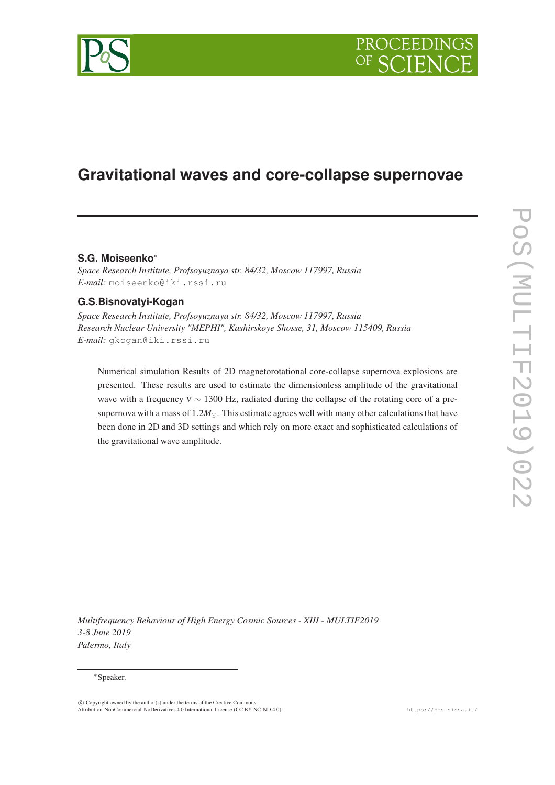

# **Gravitational waves and core-collapse supernovae**

# **S.G. Moiseenko**<sup>∗</sup>

*Space Research Institute, Profsoyuznaya str. 84/32, Moscow 117997, Russia E-mail:* moiseenko@iki.rssi.ru

# **G.S.Bisnovatyi-Kogan**

*Space Research Institute, Profsoyuznaya str. 84/32, Moscow 117997, Russia Research Nuclear University "MEPHI", Kashirskoye Shosse, 31, Moscow 115409, Russia E-mail:* gkogan@iki.rssi.ru

Numerical simulation Results of 2D magnetorotational core-collapse supernova explosions are presented. These results are used to estimate the dimensionless amplitude of the gravitational wave with a frequency  $v \sim 1300$  Hz, radiated during the collapse of the rotating core of a presupernova with a mass of 1.2*M*⊙. This estimate agrees well with many other calculations that have been done in 2D and 3D settings and which rely on more exact and sophisticated calculations of the gravitational wave amplitude.

*Multifrequency Behaviour of High Energy Cosmic Sources - XIII - MULTIF2019 3-8 June 2019 Palermo, Italy*

### <sup>∗</sup>Speaker.

c Copyright owned by the author(s) under the terms of the Creative Commons Attribution-NonCommercial-NoDerivatives 4.0 International License (CC BY-NC-ND 4.0). https://pos.sissa.it/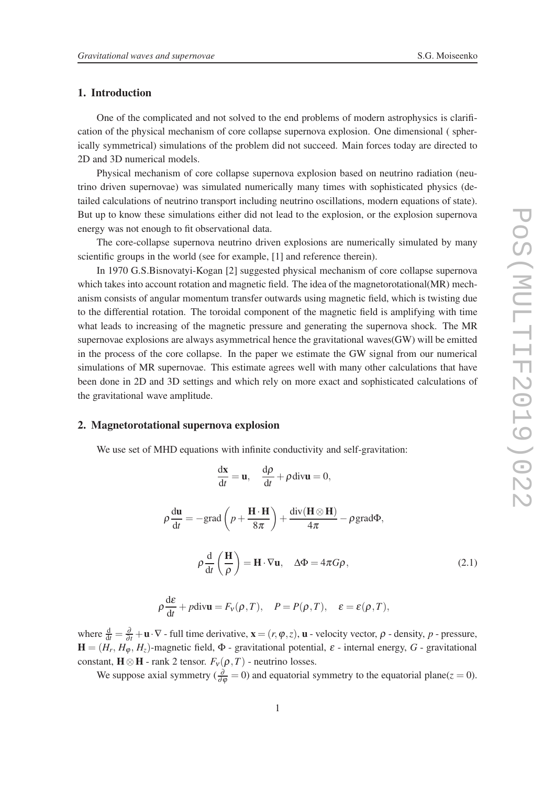## 1. Introduction

One of the complicated and not solved to the end problems of modern astrophysics is clarification of the physical mechanism of core collapse supernova explosion. One dimensional ( spherically symmetrical) simulations of the problem did not succeed. Main forces today are directed to 2D and 3D numerical models.

Physical mechanism of core collapse supernova explosion based on neutrino radiation (neutrino driven supernovae) was simulated numerically many times with sophisticated physics (detailed calculations of neutrino transport including neutrino oscillations, modern equations of state). But up to know these simulations either did not lead to the explosion, or the explosion supernova energy was not enough to fit observational data.

The core-collapse supernova neutrino driven explosions are numerically simulated by many scientific groups in the world (see for example, [1] and reference therein).

In 1970 G.S.Bisnovatyi-Kogan [2] suggested physical mechanism of core collapse supernova which takes into account rotation and magnetic field. The idea of the magnetorotational(MR) mechanism consists of angular momentum transfer outwards using magnetic field, which is twisting due to the differential rotation. The toroidal component of the magnetic field is amplifying with time what leads to increasing of the magnetic pressure and generating the supernova shock. The MR supernovae explosions are always asymmetrical hence the gravitational waves(GW) will be emitted in the process of the core collapse. In the paper we estimate the GW signal from our numerical simulations of MR supernovae. This estimate agrees well with many other calculations that have been done in 2D and 3D settings and which rely on more exact and sophisticated calculations of the gravitational wave amplitude.

## 2. Magnetorotational supernova explosion

We use set of MHD equations with infinite conductivity and self-gravitation:

$$
\frac{\mathrm{d}\mathbf{x}}{\mathrm{d}t} = \mathbf{u}, \quad \frac{\mathrm{d}\rho}{\mathrm{d}t} + \rho \,\mathrm{div}\mathbf{u} = 0,
$$

$$
\rho \frac{du}{dt} = -\text{grad}\left(p + \frac{H \cdot H}{8\pi}\right) + \frac{\text{div}(H \otimes H)}{4\pi} - \rho \text{grad}\Phi,
$$
\n
$$
\rho \frac{d}{dt} \left(\frac{H}{\rho}\right) = H \cdot \nabla u, \quad \Delta \Phi = 4\pi G \rho,
$$
\n
$$
\rho \frac{d\varepsilon}{dt} + p \text{div}u = F_V(\rho, T), \quad P = P(\rho, T), \quad \varepsilon = \varepsilon(\rho, T),
$$
\n(2.1)

where  $\frac{d}{dt} = \frac{\partial}{\partial t} + \mathbf{u} \cdot \nabla$  - full time derivative,  $\mathbf{x} = (r, \varphi, z)$ ,  $\mathbf{u}$  - velocity vector,  $\rho$  - density,  $p$  - pressure,  $H = (H_r, H_\phi, H_z)$ -magnetic field,  $\Phi$  - gravitational potential,  $\varepsilon$  - internal energy,  $G$  - gravitational constant,  $\mathbf{H} \otimes \mathbf{H}$  - rank 2 tensor.  $F_v(\rho, T)$  - neutrino losses.

We suppose axial symmetry ( $\frac{\partial}{\partial \varphi} = 0$ ) and equatorial symmetry to the equatorial plane(*z* = 0).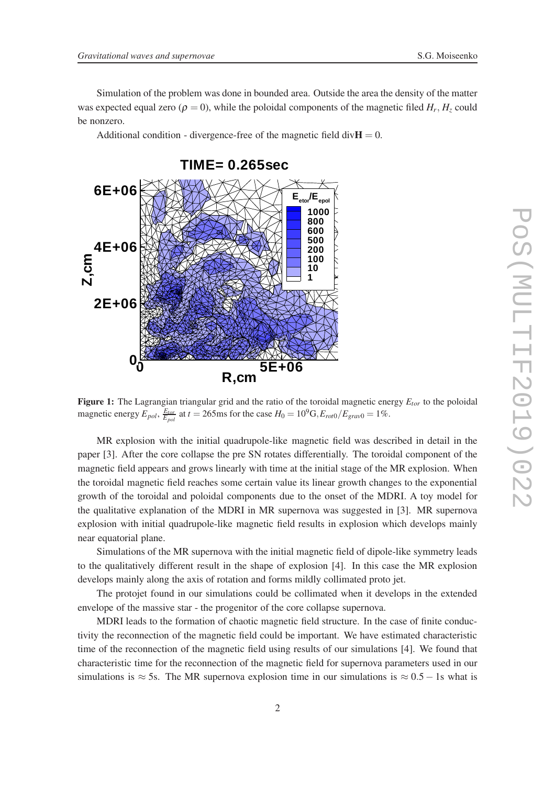Simulation of the problem was done in bounded area. Outside the area the density of the matter was expected equal zero ( $\rho = 0$ ), while the poloidal components of the magnetic filed  $H_r$ ,  $H_z$  could be nonzero.

Additional condition - divergence-free of the magnetic field div $H = 0$ .



Figure 1: The Lagrangian triangular grid and the ratio of the toroidal magnetic energy *Etor* to the poloidal magnetic energy  $E_{pol}$ ,  $\frac{E_{tor}}{E_{pol}}$  at  $t = 265$ ms for the case  $H_0 = 10^9$ G,  $E_{rot0}/E_{grav0} = 1\%$ .

MR explosion with the initial quadrupole-like magnetic field was described in detail in the paper [3]. After the core collapse the pre SN rotates differentially. The toroidal component of the magnetic field appears and grows linearly with time at the initial stage of the MR explosion. When the toroidal magnetic field reaches some certain value its linear growth changes to the exponential growth of the toroidal and poloidal components due to the onset of the MDRI. A toy model for the qualitative explanation of the MDRI in MR supernova was suggested in [3]. MR supernova explosion with initial quadrupole-like magnetic field results in explosion which develops mainly near equatorial plane.

Simulations of the MR supernova with the initial magnetic field of dipole-like symmetry leads to the qualitatively different result in the shape of explosion [4]. In this case the MR explosion develops mainly along the axis of rotation and forms mildly collimated proto jet.

The protojet found in our simulations could be collimated when it develops in the extended envelope of the massive star - the progenitor of the core collapse supernova.

MDRI leads to the formation of chaotic magnetic field structure. In the case of finite conductivity the reconnection of the magnetic field could be important. We have estimated characteristic time of the reconnection of the magnetic field using results of our simulations [4]. We found that characteristic time for the reconnection of the magnetic field for supernova parameters used in our simulations is  $\approx$  5s. The MR supernova explosion time in our simulations is  $\approx$  0.5 – 1s what is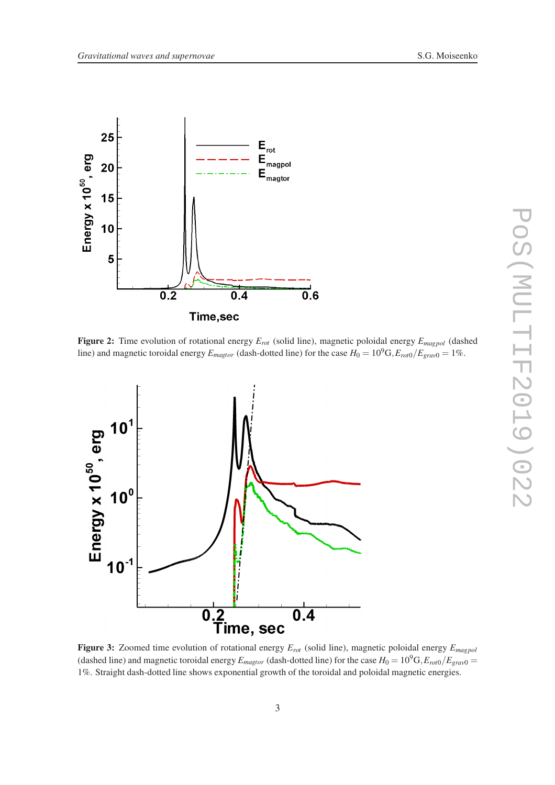





Figure 3: Zoomed time evolution of rotational energy *Erot* (solid line), magnetic poloidal energy *Emagpol* (dashed line) and magnetic toroidal energy  $E_{magtor}$  (dash-dotted line) for the case  $H_0 = 10^9$ G, $E_{rot0}/E_{grav0}$ 1%. Straight dash-dotted line shows exponential growth of the toroidal and poloidal magnetic energies.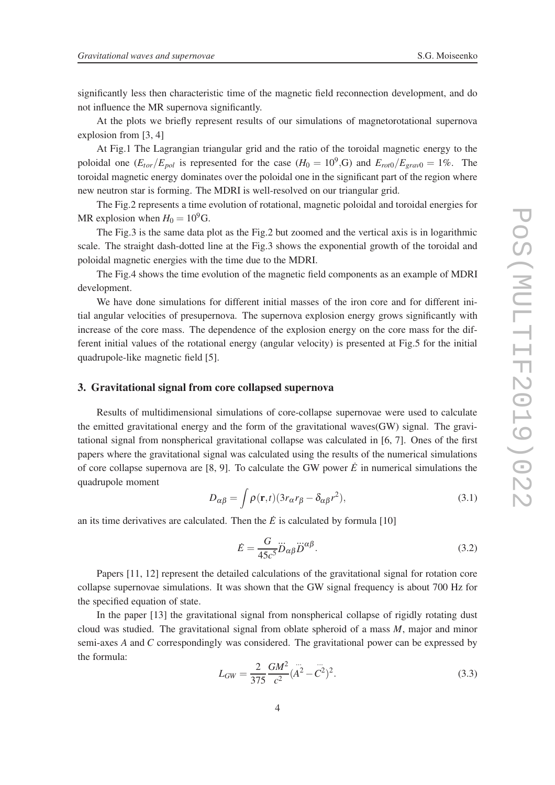significantly less then characteristic time of the magnetic field reconnection development, and do not influence the MR supernova significantly.

At the plots we briefly represent results of our simulations of magnetorotational supernova explosion from [3, 4]

At Fig.1 The Lagrangian triangular grid and the ratio of the toroidal magnetic energy to the poloidal one  $(E_{tor}/E_{pol}$  is represented for the case  $(H_0 = 10^9)$ , G and  $E_{rot0}/E_{grav0} = 1\%$ . The toroidal magnetic energy dominates over the poloidal one in the significant part of the region where new neutron star is forming. The MDRI is well-resolved on our triangular grid.

The Fig.2 represents a time evolution of rotational, magnetic poloidal and toroidal energies for MR explosion when  $H_0 = 10^9$ G.

The Fig.3 is the same data plot as the Fig.2 but zoomed and the vertical axis is in logarithmic scale. The straight dash-dotted line at the Fig.3 shows the exponential growth of the toroidal and poloidal magnetic energies with the time due to the MDRI.

The Fig.4 shows the time evolution of the magnetic field components as an example of MDRI development.

We have done simulations for different initial masses of the iron core and for different initial angular velocities of presupernova. The supernova explosion energy grows significantly with increase of the core mass. The dependence of the explosion energy on the core mass for the different initial values of the rotational energy (angular velocity) is presented at Fig.5 for the initial quadrupole-like magnetic field [5].

### 3. Gravitational signal from core collapsed supernova

Results of multidimensional simulations of core-collapse supernovae were used to calculate the emitted gravitational energy and the form of the gravitational waves(GW) signal. The gravitational signal from nonspherical gravitational collapse was calculated in [6, 7]. Ones of the first papers where the gravitational signal was calculated using the results of the numerical simulations of core collapse supernova are  $[8, 9]$ . To calculate the GW power  $\vec{E}$  in numerical simulations the quadrupole moment

$$
D_{\alpha\beta} = \int \rho(\mathbf{r}, t) (3r_{\alpha}r_{\beta} - \delta_{\alpha\beta}r^2), \qquad (3.1)
$$

an its time derivatives are calculated. Then the  $\dot{E}$  is calculated by formula [10]

$$
\dot{E} = \frac{G}{45c^5} \dddot{D}_{\alpha\beta} \dddot{D}^{\alpha\beta}.
$$
\n(3.2)

Papers [11, 12] represent the detailed calculations of the gravitational signal for rotation core collapse supernovae simulations. It was shown that the GW signal frequency is about 700 Hz for the specified equation of state.

In the paper [13] the gravitational signal from nonspherical collapse of rigidly rotating dust cloud was studied. The gravitational signal from oblate spheroid of a mass *M*, major and minor semi-axes *A* and *C* correspondingly was considered. The gravitational power can be expressed by the formula:

$$
L_{GW} = \frac{2}{375} \frac{GM^2}{c^2} (\ddot{A}^2 - \ddot{C}^2)^2.
$$
 (3.3)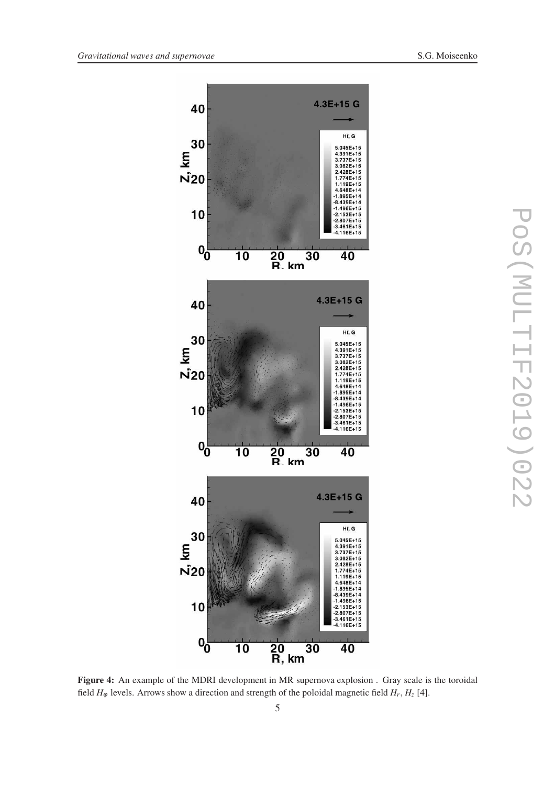

Figure 4: An example of the MDRI development in MR supernova explosion . Gray scale is the toroidal field  $H_{\varphi}$  levels. Arrows show a direction and strength of the poloidal magnetic field  $H_r$ ,  $H_z$  [4].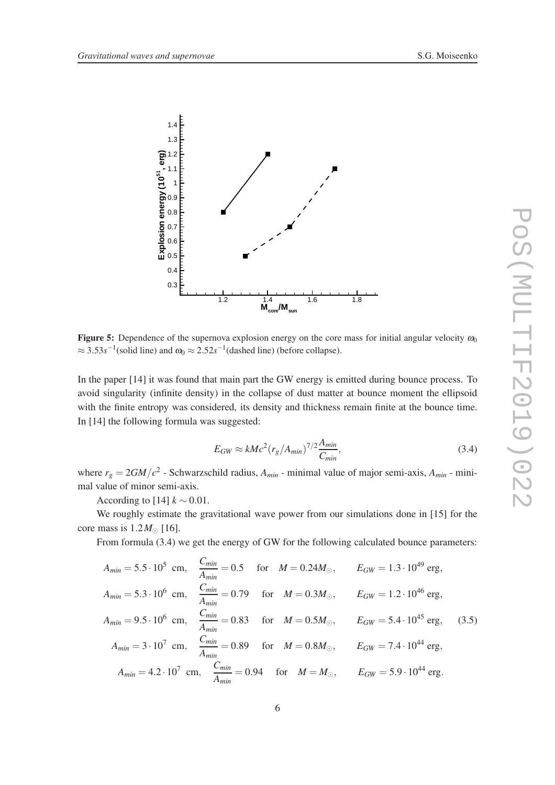

**Figure 5:** Dependence of the supernova explosion energy on the core mass for initial angular velocity  $\omega_0$  $\approx$  3.53*s*<sup>-1</sup>(solid line) and  $\omega_0 \approx$  2.52*s*<sup>-1</sup>(dashed line) (before collapse).

In the paper [14] it was found that main part the GW energy is emitted during bounce process. To avoid singularity (infinite density) in the collapse of dust matter at bounce moment the ellipsoid with the finite entropy was considered, its density and thickness remain finite at the bounce time. In [14] the following formula was suggested:

$$
E_{GW} \approx kMc^2 (r_g / A_{min})^{7/2} \frac{A_{min}}{C_{min}},
$$
\n(3.4)

where  $r_g = 2GM/c^2$  - Schwarzschild radius,  $A_{min}$  - minimal value of major semi-axis,  $A_{min}$  - minimal value of minor semi-axis.

According to [14]  $k \sim 0.01$ .

We roughly estimate the gravitational wave power from our simulations done in [15] for the core mass is  $1.2M_{\odot}$  [16].

From formula (3.4) we get the energy of GW for the following calculated bounce parameters:

$$
A_{min} = 5.5 \cdot 10^5 \text{ cm}, \quad \frac{C_{min}}{A_{min}} = 0.5 \quad \text{for} \quad M = 0.24 M_{\odot}, \qquad E_{GW} = 1.3 \cdot 10^{49} \text{ erg},
$$
  
\n
$$
A_{min} = 5.3 \cdot 10^6 \text{ cm}, \quad \frac{C_{min}}{A_{min}} = 0.79 \quad \text{for} \quad M = 0.3 M_{\odot}, \qquad E_{GW} = 1.2 \cdot 10^{46} \text{ erg},
$$
  
\n
$$
A_{min} = 9.5 \cdot 10^6 \text{ cm}, \quad \frac{C_{min}}{A_{min}} = 0.83 \quad \text{for} \quad M = 0.5 M_{\odot}, \qquad E_{GW} = 5.4 \cdot 10^{45} \text{ erg}, \quad (3.5)
$$
  
\n
$$
A_{min} = 3 \cdot 10^7 \text{ cm}, \quad \frac{C_{min}}{A_{min}} = 0.89 \quad \text{for} \quad M = 0.8 M_{\odot}, \qquad E_{GW} = 7.4 \cdot 10^{44} \text{ erg},
$$
  
\n
$$
A_{min} = 4.2 \cdot 10^7 \text{ cm}, \quad \frac{C_{min}}{A_{min}} = 0.94 \quad \text{for} \quad M = M_{\odot}, \qquad E_{GW} = 5.9 \cdot 10^{44} \text{ erg}.
$$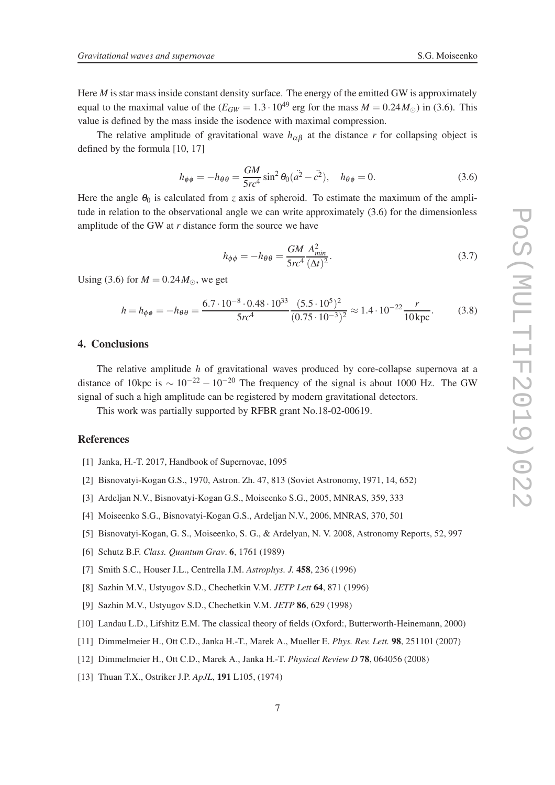Here *M* is star mass inside constant density surface. The energy of the emitted GW is approximately equal to the maximal value of the  $(E_{GW} = 1.3 \cdot 10^{49}$  erg for the mass  $M = 0.24 M_{\odot}$ ) in (3.6). This value is defined by the mass inside the isodence with maximal compression.

The relative amplitude of gravitational wave  $h_{\alpha\beta}$  at the distance *r* for collapsing object is defined by the formula [10, 17]

$$
h_{\phi\phi} = -h_{\theta\theta} = \frac{GM}{5rc^4} \sin^2\theta_0 (\dot{a}^2 - \dot{c}^2), \quad h_{\theta\phi} = 0.
$$
 (3.6)

Here the angle  $\theta_0$  is calculated from *z* axis of spheroid. To estimate the maximum of the amplitude in relation to the observational angle we can write approximately (3.6) for the dimensionless amplitude of the GW at *r* distance form the source we have

$$
h_{\phi\phi} = -h_{\theta\theta} = \frac{GM}{5rc^4} \frac{A_{min}^2}{(\Delta t)^2}.
$$
\n(3.7)

Using (3.6) for  $M = 0.24 M_{\odot}$ , we get

$$
h = h_{\phi\phi} = -h_{\theta\theta} = \frac{6.7 \cdot 10^{-8} \cdot 0.48 \cdot 10^{33}}{5rc^4} \frac{(5.5 \cdot 10^5)^2}{(0.75 \cdot 10^{-3})^2} \approx 1.4 \cdot 10^{-22} \frac{r}{10 \,\text{kpc}}.\tag{3.8}
$$

# 4. Conclusions

The relative amplitude *h* of gravitational waves produced by core-collapse supernova at a distance of 10kpc is  $\sim 10^{-22} - 10^{-20}$  The frequency of the signal is about 1000 Hz. The GW signal of such a high amplitude can be registered by modern gravitational detectors.

This work was partially supported by RFBR grant No.18-02-00619.

#### **References**

- [1] Janka, H.-T. 2017, Handbook of Supernovae, 1095
- [2] Bisnovatyi-Kogan G.S., 1970, Astron. Zh. 47, 813 (Soviet Astronomy, 1971, 14, 652)
- [3] Ardeljan N.V., Bisnovatyi-Kogan G.S., Moiseenko S.G., 2005, MNRAS, 359, 333
- [4] Moiseenko S.G., Bisnovatyi-Kogan G.S., Ardeljan N.V., 2006, MNRAS, 370, 501
- [5] Bisnovatyi-Kogan, G. S., Moiseenko, S. G., & Ardelyan, N. V. 2008, Astronomy Reports, 52, 997
- [6] Schutz B.F. *Class. Quantum Grav*. 6, 1761 (1989)
- [7] Smith S.C., Houser J.L., Centrella J.M. *Astrophys. J.* 458, 236 (1996)
- [8] Sazhin M.V., Ustyugov S.D., Chechetkin V.M. *JETP Lett* 64, 871 (1996)
- [9] Sazhin M.V., Ustyugov S.D., Chechetkin V.M. *JETP* 86, 629 (1998)
- [10] Landau L.D., Lifshitz E.M. The classical theory of fields (Oxford:, Butterworth-Heinemann, 2000)
- [11] Dimmelmeier H., Ott C.D., Janka H.-T., Marek A., Mueller E. *Phys. Rev. Lett.* 98, 251101 (2007)
- [12] Dimmelmeier H., Ott C.D., Marek A., Janka H.-T. *Physical Review D* 78, 064056 (2008)
- [13] Thuan T.X., Ostriker J.P. *ApJL*, 191 L105, (1974)